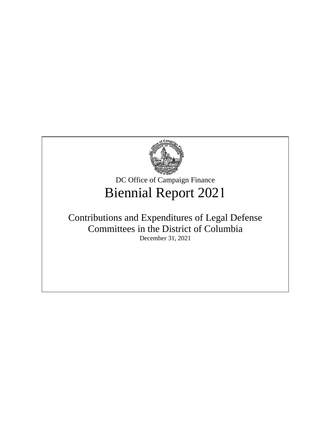

DC Office of Campaign Finance Biennial Report 2021

# Contributions and Expenditures of Legal Defense Committees in the District of Columbia December 31, 2021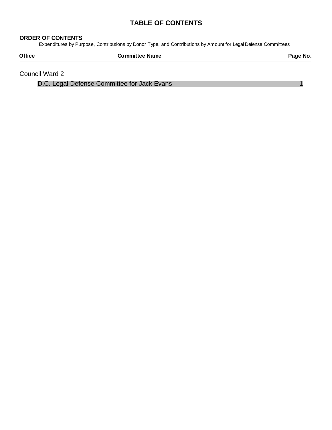## **TABLE OF CONTENTS**

#### **ORDER OF CONTENTS**

Expenditures by Purpose, Contributions by Donor Type, and Contributions by Amount for Legal Defense Committees

| <b>Office</b> | <b>Committee Name</b> | Page No. |
|---------------|-----------------------|----------|
|               |                       |          |

Council Ward 2

 [D.C. Legal Defense Committee for Jack Evans](#page-2-0) 1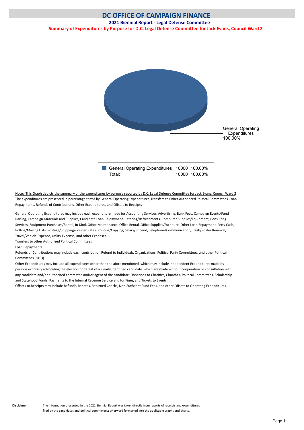#### <span id="page-2-0"></span>**2021 Biennial Report - Legal Defense Committee**

**Summary of Expenditures by Purpose for D.C. Legal Defense Committee for Jack Evans, Council Ward 2**



Note: This Graph depicts the summary of the expenditures by purpose reported by D.C. Legal Defense Committee for Jack Evans, Council Ward 2 The expenditures are presented in percentage terms by General Operating Expenditures, Transfers to Other Authorized Political Committees, Loan Repayments, Refunds of Contributions, Other Expenditures, and Offsets to Receipts

General Operating Expenditures may include each expenditure made for Accounting Services, Advertising, Bank Fees, Campaign Events/Fund Raising, Campaign Materials and Supplies, Candidate Loan Re-payment, Catering/Refreshments, Computer Supplies/Equipment, Consultng Services, Equipment Purchases/Rental, In-Kind, Office Maintenance, Office Rental, Office Supplies/Furniture, Other Loan Repayment, Petty Cash, Polling/Mailing Lists, Postage/Shipping/Courier Rates, Printng/Copying, Salary/Stpend, Telephone/Communicaton, Trash/Poster Removal, Travel/Vehicle Expense, Utlity Expense, and other Expenses.

Transfers to other Authorized Political Committees.

Loan Repayments.

Refunds of Contributions may include each contribution Refund to Individuals, Organizations, Political Party Committees, and other Political Commitees (PACs).

Other Expenditures may include all expenditures other than the afore-mentoned, which may include Independent Expenditures made by persons expressly advocating the election or defeat of a clearly identified candidate, which are made without cooperation or consultation with any candidate and/or authorized committee and/or agent of the candidate; Donations to Charities, Churches, Political Committees, Scholarship and Statehood Funds; Payments to the Internal Revenue Service and for Fines; and Tickets to Events.

Offsets to Receipts may include Refunds, Rebates, Returned Checks, Non-Sufficient Fund Fees, and other Offsets to Operating Expenditures.

**Disclaimer :** The information presented in the 2021 Biennial Report was taken directly from reports of receipts and expenditures filed by the candidates and political committees; afterward formatted into the applicable graphs and charts.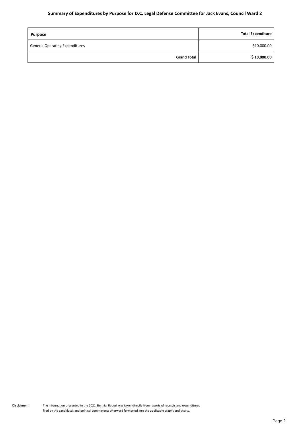### **Summary of Expenditures by Purpose for D.C. Legal Defense Committee for Jack Evans, Council Ward 2**

| <b>Purpose</b>                        | <b>Total Expenditure</b> |
|---------------------------------------|--------------------------|
| <b>General Operating Expenditures</b> | \$10,000.00              |
| <b>Grand Total</b>                    | \$10,000.00              |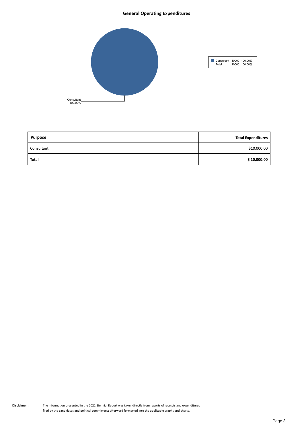#### **General Operating Expenditures**



| <b>Purpose</b> | <b>Total Expenditures</b> |
|----------------|---------------------------|
| Consultant     | \$10,000.00               |
| <b>Total</b>   | \$10,000.00               |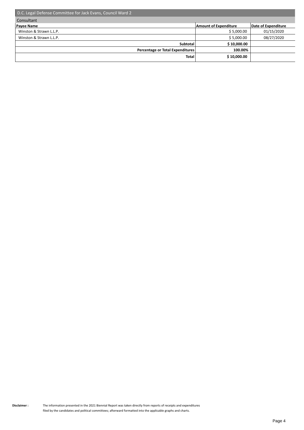| D.C. Legal Defense Committee for Jack Evans, Council Ward 2 |                              |                     |  |
|-------------------------------------------------------------|------------------------------|---------------------|--|
| Consultant                                                  |                              |                     |  |
| <b>Payee Name</b>                                           | <b>Amount of Expenditure</b> | Date of Expenditure |  |
| Winston & Strawn L.L.P.                                     | \$5,000.00                   | 01/15/2020          |  |
| Winston & Strawn L.L.P.                                     | \$5,000.00                   | 08/27/2020          |  |
| Subtotal                                                    | \$10,000.00                  |                     |  |
| Percentage or Total Expenditures                            | 100.00%                      |                     |  |
| <b>Total</b>                                                | \$10,000.00                  |                     |  |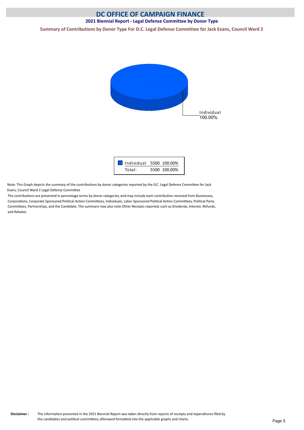### **2021 Biennial Report - Legal Defense Committee by Donor Type**

**Summary of Contributions by Donor Type For D.C. Legal Defense Committee for Jack Evans, Council Ward 2**





Note: This Graph depicts the summary of the contributons by donor categories reported by the D.C. Legal Defense Commitee for Jack Evans, Council Ward 2 Legal Defense Commitee

The contributons are presented in percentage terms by donor categories, and may include each contributon received from Businesses, Corporatons, Corporate Sponsored Politcal Acton Commitees, Individuals, Labor Sponsored Politcal Acton Commitees, Politcal Party Commitees, Partnerships, and the Candidate. The summary may also note Other Receipts reported, such as Dividends, Interest, Refunds, and Rebates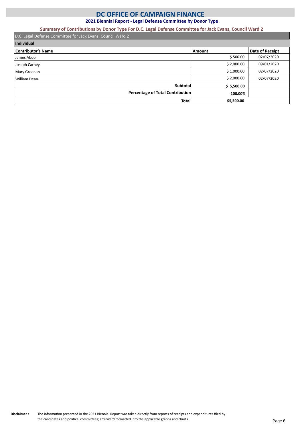**2021 Biennial Report - Legal Defense Committee by Donor Type**

**Summary of Contributions by Donor Type For D.C. Legal Defense Committee for Jack Evans, Council Ward 2**

| D.C. Legal Defense Committee for Jack Evans, Council Ward 2 |            |                 |  |
|-------------------------------------------------------------|------------|-----------------|--|
| Individual                                                  |            |                 |  |
| <b>Contributor's Name</b>                                   | Amount     | Date of Receipt |  |
| James Abdo                                                  | \$500.00   | 02/07/2020      |  |
| Joseph Carney                                               | \$2,000.00 | 09/01/2020      |  |
| Mary Greenan                                                | \$1,000.00 | 02/07/2020      |  |
| William Dean                                                | \$2,000.00 | 02/07/2020      |  |
| <b>Subtotal</b>                                             | \$5,500.00 |                 |  |
| Percentage of Total Contribution                            | 100.00%    |                 |  |
| Total                                                       | \$5,500.00 |                 |  |